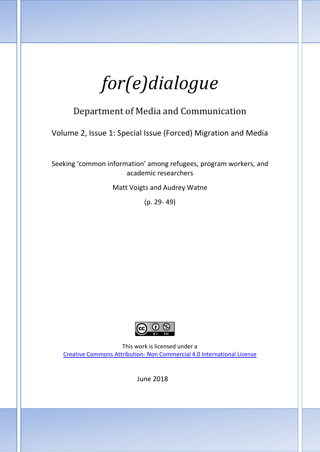*for(e)dialogue*

# Department of Media and Communication

Volume 2, Issue 1: Special Issue (Forced) Migration and Media

Seeking 'common information' among refugees, program workers, and academic researchers

Matt Voigts and Audrey Watne

(p. 29- 49)



This work is licensed under a Creative Commons Attribution- [Non Commercial 4.0 International License](https://creativecommons.org/licenses/by-nc/4.0/)

June 2018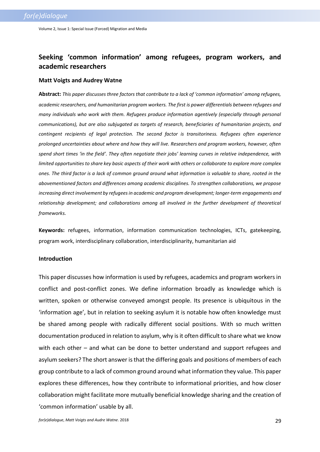## **Seeking 'common information' among refugees, program workers, and academic researchers**

#### **Matt Voigts and Audrey Watne**

**Abstract:** *This paper discusses three factors that contribute to a lack of 'common information' among refugees, academic researchers, and humanitarian program workers. The first is power differentials between refugees and many individuals who work with them. Refugees produce information agentively (especially through personal communications), but are also subjugated as targets of research, beneficiaries of humanitarian projects, and contingent recipients of legal protection. The second factor is transitoriness. Refugees often experience prolonged uncertainties about where and how they will live. Researchers and program workers, however, often spend short times 'in the field'. They often negotiate their jobs' learning curves in relative independence, with limited opportunities to share key basic aspects of their work with others or collaborate to explore more complex ones. The third factor is a lack of common ground around what information is valuable to share, rooted in the abovementioned factors and differences among academic disciplines. To strengthen collaborations, we propose increasing direct involvement by refugees in academic and program development; longer-term engagements and relationship development; and collaborations among all involved in the further development of theoretical frameworks.*

**Keywords:** refugees, information, information communication technologies, ICTs, gatekeeping, program work, interdisciplinary collaboration, interdisciplinarity, humanitarian aid

#### **Introduction**

This paper discusses how information is used by refugees, academics and program workers in conflict and post-conflict zones. We define information broadly as knowledge which is written, spoken or otherwise conveyed amongst people. Its presence is ubiquitous in the 'information age', but in relation to seeking asylum it is notable how often knowledge must be shared among people with radically different social positions. With so much written documentation produced in relation to asylum, why is it often difficult to share what we know with each other – and what can be done to better understand and support refugees and asylum seekers? The short answer is that the differing goals and positions of members of each group contribute to a lack of common ground around what information they value. This paper explores these differences, how they contribute to informational priorities, and how closer collaboration might facilitate more mutually beneficial knowledge sharing and the creation of 'common information' usable by all.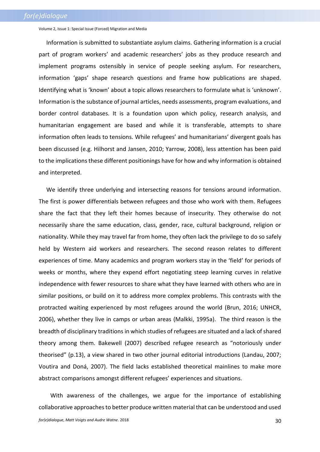Information is submitted to substantiate asylum claims. Gathering information is a crucial part of program workers' and academic researchers' jobs as they produce research and implement programs ostensibly in service of people seeking asylum. For researchers, information 'gaps' shape research questions and frame how publications are shaped. Identifying what is 'known' about a topic allows researchers to formulate what is 'unknown'. Information is the substance of journal articles, needs assessments, program evaluations, and border control databases. It is a foundation upon which policy, research analysis, and humanitarian engagement are based and while it is transferable, attempts to share information often leads to tensions. While refugees' and humanitarians' divergent goals has been discussed (e.g. Hilhorst and Jansen, 2010; Yarrow, 2008), less attention has been paid to the implications these different positionings have for how and why information is obtained and interpreted.

We identify three underlying and intersecting reasons for tensions around information. The first is power differentials between refugees and those who work with them. Refugees share the fact that they left their homes because of insecurity. They otherwise do not necessarily share the same education, class, gender, race, cultural background, religion or nationality. While they may travel far from home, they often lack the privilege to do so safely held by Western aid workers and researchers. The second reason relates to different experiences of time. Many academics and program workers stay in the 'field' for periods of weeks or months, where they expend effort negotiating steep learning curves in relative independence with fewer resources to share what they have learned with others who are in similar positions, or build on it to address more complex problems. This contrasts with the protracted waiting experienced by most refugees around the world (Brun, 2016; UNHCR, 2006), whether they live in camps or urban areas (Malkki, 1995a). The third reason is the breadth of disciplinary traditions in which studies of refugees are situated and a lack of shared theory among them. Bakewell (2007) described refugee research as "notoriously under theorised" (p.13), a view shared in two other journal editorial introductions (Landau, 2007; Voutira and Doná, 2007). The field lacks established theoretical mainlines to make more abstract comparisons amongst different refugees' experiences and situations.

With awareness of the challenges, we argue for the importance of establishing collaborative approaches to better produce written material that can be understood and used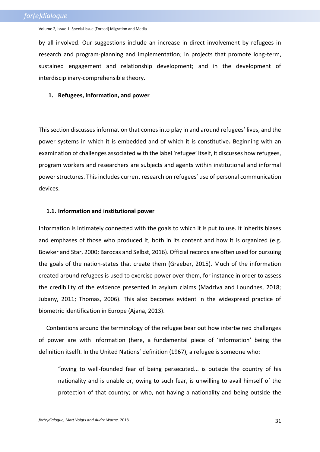by all involved. Our suggestions include an increase in direct involvement by refugees in research and program-planning and implementation; in projects that promote long-term, sustained engagement and relationship development; and in the development of interdisciplinary-comprehensible theory.

#### **1. Refugees, information, and power**

This section discusses information that comes into play in and around refugees' lives, and the power systems in which it is embedded and of which it is constitutive**.** Beginning with an examination of challenges associated with the label 'refugee' itself, it discusses how refugees, program workers and researchers are subjects and agents within institutional and informal power structures. This includes current research on refugees' use of personal communication devices.

## **1.1. Information and institutional power**

Information is intimately connected with the goals to which it is put to use. It inherits biases and emphases of those who produced it, both in its content and how it is organized (e.g. Bowker and Star, 2000; Barocas and Selbst, 2016). Official records are often used for pursuing the goals of the nation-states that create them (Graeber, 2015). Much of the information created around refugees is used to exercise power over them, for instance in order to assess the credibility of the evidence presented in asylum claims (Madziva and Loundnes, 2018; Jubany, 2011; Thomas, 2006). This also becomes evident in the widespread practice of biometric identification in Europe (Ajana, 2013).

Contentions around the terminology of the refugee bear out how intertwined challenges of power are with information (here, a fundamental piece of 'information' being the definition itself). In the United Nations' definition (1967), a refugee is someone who:

"owing to well-founded fear of being persecuted... is outside the country of his nationality and is unable or, owing to such fear, is unwilling to avail himself of the protection of that country; or who, not having a nationality and being outside the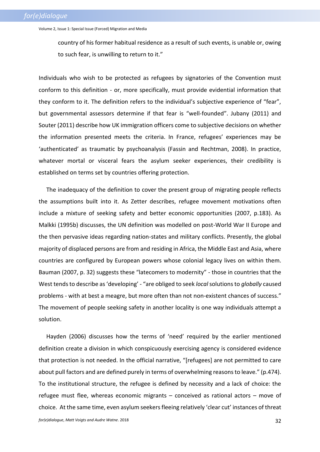country of his former habitual residence as a result of such events, is unable or, owing to such fear, is unwilling to return to it."

Individuals who wish to be protected as refugees by signatories of the Convention must conform to this definition - or, more specifically, must provide evidential information that they conform to it. The definition refers to the individual's subjective experience of "fear", but governmental assessors determine if that fear is "well-founded". Jubany (2011) and Souter (2011) describe how UK immigration officers come to subjective decisions on whether the information presented meets the criteria. In France, refugees' experiences may be 'authenticated' as traumatic by psychoanalysis (Fassin and Rechtman, 2008). In practice, whatever mortal or visceral fears the asylum seeker experiences, their credibility is established on terms set by countries offering protection.

The inadequacy of the definition to cover the present group of migrating people reflects the assumptions built into it. As Zetter describes, refugee movement motivations often include a mixture of seeking safety and better economic opportunities (2007, p.183). As Malkki (1995b) discusses, the UN definition was modelled on post-World War II Europe and the then pervasive ideas regarding nation-states and military conflicts. Presently, the global majority of displaced persons are from and residing in Africa, the Middle East and Asia, where countries are configured by European powers whose colonial legacy lives on within them. Bauman (2007, p. 32) suggests these "latecomers to modernity" - those in countries that the West tends to describe as 'developing' - "are obliged to seek *local* solutions to *globally* caused problems - with at best a meagre, but more often than not non-existent chances of success." The movement of people seeking safety in another locality is one way individuals attempt a solution.

Hayden (2006) discusses how the terms of 'need' required by the earlier mentioned definition create a division in which conspicuously exercising agency is considered evidence that protection is not needed. In the official narrative, "[refugees] are not permitted to care about pull factors and are defined purely in terms of overwhelming reasons to leave." (p.474). To the institutional structure, the refugee is defined by necessity and a lack of choice: the refugee must flee, whereas economic migrants – conceived as rational actors – move of choice. At the same time, even asylum seekers fleeing relatively 'clear cut' instances of threat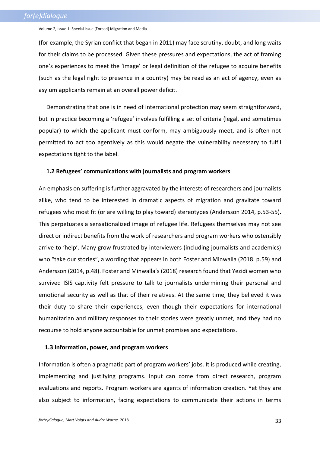(for example, the Syrian conflict that began in 2011) may face scrutiny, doubt, and long waits for their claims to be processed. Given these pressures and expectations, the act of framing one's experiences to meet the 'image' or legal definition of the refugee to acquire benefits (such as the legal right to presence in a country) may be read as an act of agency, even as asylum applicants remain at an overall power deficit.

Demonstrating that one is in need of international protection may seem straightforward, but in practice becoming a 'refugee' involves fulfilling a set of criteria (legal, and sometimes popular) to which the applicant must conform, may ambiguously meet, and is often not permitted to act too agentively as this would negate the vulnerability necessary to fulfil expectations tight to the label.

#### **1.2 Refugees' communications with journalists and program workers**

An emphasis on suffering is further aggravated by the interests of researchers and journalists alike, who tend to be interested in dramatic aspects of migration and gravitate toward refugees who most fit (or are willing to play toward) stereotypes (Andersson 2014, p.53-55). This perpetuates a sensationalized image of refugee life. Refugees themselves may not see direct or indirect benefits from the work of researchers and program workers who ostensibly arrive to 'help'. Many grow frustrated by interviewers (including journalists and academics) who "take our stories", a wording that appears in both Foster and Minwalla (2018. p.59) and Andersson (2014, p.48). Foster and Minwalla's (2018) research found that Yezidi women who survived ISIS captivity felt pressure to talk to journalists undermining their personal and emotional security as well as that of their relatives. At the same time, they believed it was their duty to share their experiences, even though their expectations for international humanitarian and military responses to their stories were greatly unmet, and they had no recourse to hold anyone accountable for unmet promises and expectations.

#### **1.3 Information, power, and program workers**

Information is often a pragmatic part of program workers' jobs. It is produced while creating, implementing and justifying programs. Input can come from direct research, program evaluations and reports. Program workers are agents of information creation. Yet they are also subject to information, facing expectations to communicate their actions in terms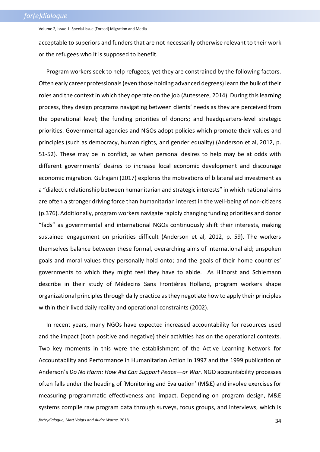acceptable to superiors and funders that are not necessarily otherwise relevant to their work or the refugees who it is supposed to benefit.

Program workers seek to help refugees, yet they are constrained by the following factors. Often early career professionals (even those holding advanced degrees) learn the bulk of their roles and the context in which they operate on the job (Autessere, 2014). During this learning process, they design programs navigating between clients' needs as they are perceived from the operational level; the funding priorities of donors; and headquarters-level strategic priorities. Governmental agencies and NGOs adopt policies which promote their values and principles (such as democracy, human rights, and gender equality) (Anderson et al, 2012, p. 51-52). These may be in conflict, as when personal desires to help may be at odds with different governments' desires to increase local economic development and discourage economic migration. Gulrajani (2017) explores the motivations of bilateral aid investment as a "dialectic relationship between humanitarian and strategic interests" in which national aims are often a stronger driving force than humanitarian interest in the well-being of non-citizens (p.376). Additionally, program workers navigate rapidly changing funding priorities and donor "fads" as governmental and international NGOs continuously shift their interests, making sustained engagement on priorities difficult (Anderson et al, 2012, p. 59). The workers themselves balance between these formal, overarching aims of international aid; unspoken goals and moral values they personally hold onto; and the goals of their home countries' governments to which they might feel they have to abide. As Hilhorst and Schiemann describe in their study of Médecins Sans Frontières Holland, program workers shape organizational principles through daily practice as they negotiate how to apply their principles within their lived daily reality and operational constraints (2002).

In recent years, many NGOs have expected increased accountability for resources used and the impact (both positive and negative) their activities has on the operational contexts. Two key moments in this were the establishment of the Active Learning Network for Accountability and Performance in Humanitarian Action in 1997 and the 1999 publication of Anderson's *Do No Harm: How Aid Can Support Peace—or War*. NGO accountability processes often falls under the heading of 'Monitoring and Evaluation' (M&E) and involve exercises for measuring programmatic effectiveness and impact. Depending on program design, M&E systems compile raw program data through surveys, focus groups, and interviews, which is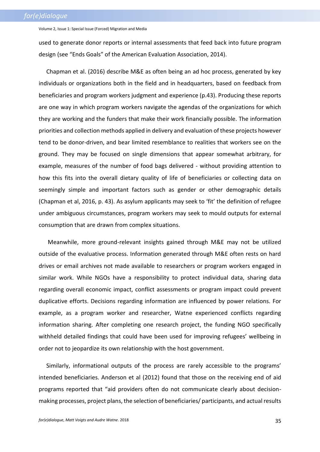used to generate donor reports or internal assessments that feed back into future program design (see "Ends Goals" of the American Evaluation Association, 2014).

Chapman et al. (2016) describe M&E as often being an ad hoc process, generated by key individuals or organizations both in the field and in headquarters, based on feedback from beneficiaries and program workers judgment and experience (p.43). Producing these reports are one way in which program workers navigate the agendas of the organizations for which they are working and the funders that make their work financially possible. The information priorities and collection methods applied in delivery and evaluation of these projects however tend to be donor-driven, and bear limited resemblance to realities that workers see on the ground. They may be focused on single dimensions that appear somewhat arbitrary, for example, measures of the number of food bags delivered - without providing attention to how this fits into the overall dietary quality of life of beneficiaries or collecting data on seemingly simple and important factors such as gender or other demographic details (Chapman et al, 2016, p. 43). As asylum applicants may seek to 'fit' the definition of refugee under ambiguous circumstances, program workers may seek to mould outputs for external consumption that are drawn from complex situations.

Meanwhile, more ground-relevant insights gained through M&E may not be utilized outside of the evaluative process. Information generated through M&E often rests on hard drives or email archives not made available to researchers or program workers engaged in similar work. While NGOs have a responsibility to protect individual data, sharing data regarding overall economic impact, conflict assessments or program impact could prevent duplicative efforts. Decisions regarding information are influenced by power relations. For example, as a program worker and researcher, Watne experienced conflicts regarding information sharing. After completing one research project, the funding NGO specifically withheld detailed findings that could have been used for improving refugees' wellbeing in order not to jeopardize its own relationship with the host government.

Similarly, informational outputs of the process are rarely accessible to the programs' intended beneficiaries. Anderson et al (2012) found that those on the receiving end of aid programs reported that "aid providers often do not communicate clearly about decisionmaking processes, project plans, the selection of beneficiaries/ participants, and actual results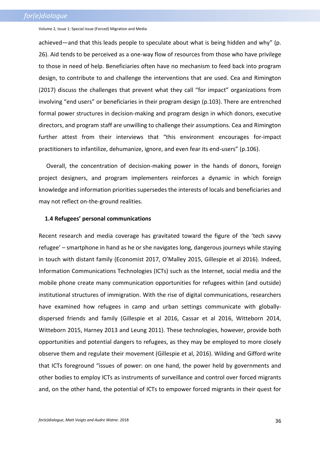achieved—and that this leads people to speculate about what is being hidden and why" (p. 26). Aid tends to be perceived as a one-way flow of resources from those who have privilege to those in need of help. Beneficiaries often have no mechanism to feed back into program design, to contribute to and challenge the interventions that are used. Cea and Rimington (2017) discuss the challenges that prevent what they call "for impact" organizations from involving "end users" or beneficiaries in their program design (p.103). There are entrenched formal power structures in decision-making and program design in which donors, executive directors, and program staff are unwilling to challenge their assumptions. Cea and Rimington further attest from their interviews that "this environment encourages for-impact practitioners to infantilize, dehumanize, ignore, and even fear its end-users" (p.106).

Overall, the concentration of decision-making power in the hands of donors, foreign project designers, and program implementers reinforces a dynamic in which foreign knowledge and information priorities supersedes the interests of locals and beneficiaries and may not reflect on-the-ground realities.

### **1.4 Refugees' personal communications**

Recent research and media coverage has gravitated toward the figure of the 'tech savvy refugee' – smartphone in hand as he or she navigates long, dangerous journeys while staying in touch with distant family (Economist 2017, O'Malley 2015, Gillespie et al 2016). Indeed, Information Communications Technologies (ICTs) such as the Internet, social media and the mobile phone create many communication opportunities for refugees within (and outside) institutional structures of immigration. With the rise of digital communications, researchers have examined how refugees in camp and urban settings communicate with globallydispersed friends and family (Gillespie et al 2016, Cassar et al 2016, Witteborn 2014, Witteborn 2015, Harney 2013 and Leung 2011). These technologies, however, provide both opportunities and potential dangers to refugees, as they may be employed to more closely observe them and regulate their movement (Gillespie et al, 2016). Wilding and Gifford write that ICTs foreground "issues of power: on one hand, the power held by governments and other bodies to employ ICTs as instruments of surveillance and control over forced migrants and, on the other hand, the potential of ICTs to empower forced migrants in their quest for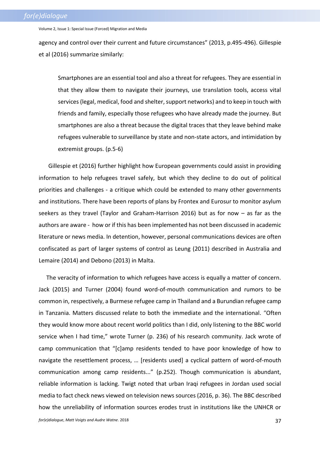agency and control over their current and future circumstances" (2013, p.495-496). Gillespie et al (2016) summarize similarly:

Smartphones are an essential tool and also a threat for refugees. They are essential in that they allow them to navigate their journeys, use translation tools, access vital services (legal, medical, food and shelter, support networks) and to keep in touch with friends and family, especially those refugees who have already made the journey. But smartphones are also a threat because the digital traces that they leave behind make refugees vulnerable to surveillance by state and non-state actors, and intimidation by extremist groups. (p.5-6)

Gillespie et (2016) further highlight how European governments could assist in providing information to help refugees travel safely, but which they decline to do out of political priorities and challenges - a critique which could be extended to many other governments and institutions. There have been reports of plans by Frontex and Eurosur to monitor asylum seekers as they travel (Taylor and Graham-Harrison 2016) but as for now – as far as the authors are aware - how or if this has been implemented has not been discussed in academic literature or news media. In detention, however, personal communications devices are often confiscated as part of larger systems of control as Leung (2011) described in Australia and Lemaire (2014) and Debono (2013) in Malta.

The veracity of information to which refugees have access is equally a matter of concern. Jack (2015) and Turner (2004) found word-of-mouth communication and rumors to be common in, respectively, a Burmese refugee camp in Thailand and a Burundian refugee camp in Tanzania. Matters discussed relate to both the immediate and the international. "Often they would know more about recent world politics than I did, only listening to the BBC world service when I had time," wrote Turner (p. 236) of his research community. Jack wrote of camp communication that "[c]amp residents tended to have poor knowledge of how to navigate the resettlement process, … [residents used] a cyclical pattern of word-of-mouth communication among camp residents..." (p.252). Though communication is abundant, reliable information is lacking. Twigt noted that urban Iraqi refugees in Jordan used social media to fact check news viewed on television news sources (2016, p. 36). The BBC described how the unreliability of information sources erodes trust in institutions like the UNHCR or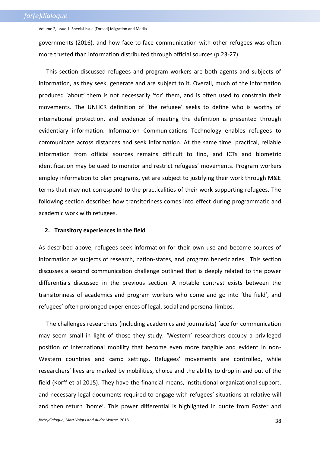governments (2016), and how face-to-face communication with other refugees was often more trusted than information distributed through official sources (p.23-27).

This section discussed refugees and program workers are both agents and subjects of information, as they seek, generate and are subject to it. Overall, much of the information produced 'about' them is not necessarily 'for' them, and is often used to constrain their movements. The UNHCR definition of 'the refugee' seeks to define who is worthy of international protection, and evidence of meeting the definition is presented through evidentiary information. Information Communications Technology enables refugees to communicate across distances and seek information. At the same time, practical, reliable information from official sources remains difficult to find, and ICTs and biometric identification may be used to monitor and restrict refugees' movements. Program workers employ information to plan programs, yet are subject to justifying their work through M&E terms that may not correspond to the practicalities of their work supporting refugees. The following section describes how transitoriness comes into effect during programmatic and academic work with refugees.

#### **2. Transitory experiences in the field**

As described above, refugees seek information for their own use and become sources of information as subjects of research, nation-states, and program beneficiaries. This section discusses a second communication challenge outlined that is deeply related to the power differentials discussed in the previous section. A notable contrast exists between the transitoriness of academics and program workers who come and go into 'the field', and refugees' often prolonged experiences of legal, social and personal limbos.

The challenges researchers (including academics and journalists) face for communication may seem small in light of those they study. 'Western' researchers occupy a privileged position of international mobility that become even more tangible and evident in non-Western countries and camp settings. Refugees' movements are controlled, while researchers' lives are marked by mobilities, choice and the ability to drop in and out of the field (Korff et al 2015). They have the financial means, institutional organizational support, and necessary legal documents required to engage with refugees' situations at relative will and then return 'home'. This power differential is highlighted in quote from Foster and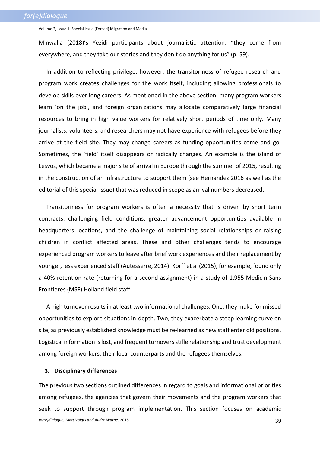Minwalla (2018)'s Yezidi participants about journalistic attention: "they come from everywhere, and they take our stories and they don't do anything for us" (p. 59).

In addition to reflecting privilege, however, the transitoriness of refugee research and program work creates challenges for the work itself, including allowing professionals to develop skills over long careers. As mentioned in the above section, many program workers learn 'on the job', and foreign organizations may allocate comparatively large financial resources to bring in high value workers for relatively short periods of time only. Many journalists, volunteers, and researchers may not have experience with refugees before they arrive at the field site. They may change careers as funding opportunities come and go. Sometimes, the 'field' itself disappears or radically changes. An example is the island of Lesvos, which became a major site of arrival in Europe through the summer of 2015, resulting in the construction of an infrastructure to support them (see Hernandez 2016 as well as the editorial of this special issue) that was reduced in scope as arrival numbers decreased.

Transitoriness for program workers is often a necessity that is driven by short term contracts, challenging field conditions, greater advancement opportunities available in headquarters locations, and the challenge of maintaining social relationships or raising children in conflict affected areas. These and other challenges tends to encourage experienced program workers to leave after brief work experiences and their replacement by younger, less experienced staff (Autesserre, 2014). Korff et al (2015), for example, found only a 40% retention rate (returning for a second assignment) in a study of 1,955 Medicin Sans Frontieres (MSF) Holland field staff.

A high turnover results in at least two informational challenges. One, they make for missed opportunities to explore situations in-depth. Two, they exacerbate a steep learning curve on site, as previously established knowledge must be re-learned as new staff enter old positions. Logistical information is lost, and frequent turnovers stifle relationship and trust development among foreign workers, their local counterparts and the refugees themselves.

#### **3. Disciplinary differences**

*for(e)dialogue*, *Matt Voigts and Audre Watne*. 2018 39 The previous two sections outlined differences in regard to goals and informational priorities among refugees, the agencies that govern their movements and the program workers that seek to support through program implementation. This section focuses on academic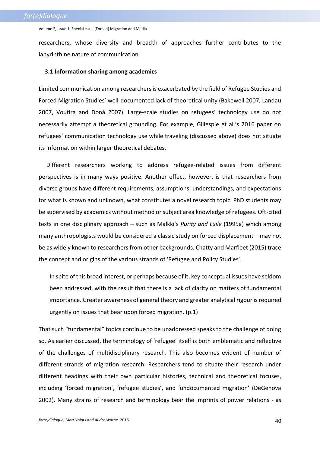researchers, whose diversity and breadth of approaches further contributes to the labyrinthine nature of communication.

#### **3.1 Information sharing among academics**

Limited communication among researchers is exacerbated by the field of Refugee Studies and Forced Migration Studies' well-documented lack of theoretical unity (Bakewell 2007, Landau 2007, Voutira and Doná 2007). Large-scale studies on refugees' technology use do not necessarily attempt a theoretical grounding. For example, Gillespie et al.'s 2016 paper on refugees' communication technology use while traveling (discussed above) does not situate its information within larger theoretical debates.

Different researchers working to address refugee-related issues from different perspectives is in many ways positive. Another effect, however, is that researchers from diverse groups have different requirements, assumptions, understandings, and expectations for what is known and unknown, what constitutes a novel research topic. PhD students may be supervised by academics without method or subject area knowledge of refugees. Oft-cited texts in one disciplinary approach – such as Malkki's *Purity and Exile* (1995a) which among many anthropologists would be considered a classic study on forced displacement – may not be as widely known to researchers from other backgrounds. Chatty and Marfleet (2015) trace the concept and origins of the various strands of 'Refugee and Policy Studies':

In spite of this broad interest, or perhaps because of it, key conceptual issues have seldom been addressed, with the result that there is a lack of clarity on matters of fundamental importance. Greater awareness of general theory and greater analytical rigour is required urgently on issues that bear upon forced migration. (p.1)

That such "fundamental" topics continue to be unaddressed speaks to the challenge of doing so. As earlier discussed, the terminology of 'refugee' itself is both emblematic and reflective of the challenges of multidisciplinary research. This also becomes evident of number of different strands of migration research. Researchers tend to situate their research under different headings with their own particular histories, technical and theoretical focuses, including 'forced migration', 'refugee studies', and 'undocumented migration' (DeGenova 2002). Many strains of research and terminology bear the imprints of power relations - as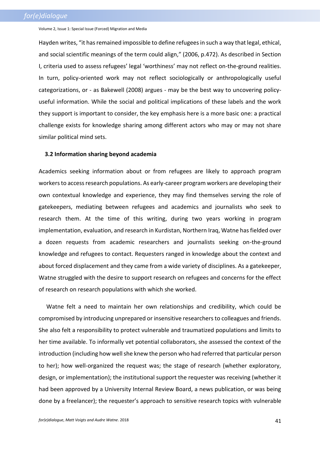Hayden writes, "it has remained impossible to define refugees in such a way that legal, ethical, and social scientific meanings of the term could align," (2006, p.472). As described in Section I, criteria used to assess refugees' legal 'worthiness' may not reflect on-the-ground realities. In turn, policy-oriented work may not reflect sociologically or anthropologically useful categorizations, or - as Bakewell (2008) argues - may be the best way to uncovering policyuseful information. While the social and political implications of these labels and the work they support is important to consider, the key emphasis here is a more basic one: a practical challenge exists for knowledge sharing among different actors who may or may not share similar political mind sets.

#### **3.2 Information sharing beyond academia**

Academics seeking information about or from refugees are likely to approach program workers to access research populations. As early-career program workers are developing their own contextual knowledge and experience, they may find themselves serving the role of gatekeepers, mediating between refugees and academics and journalists who seek to research them. At the time of this writing, during two years working in program implementation, evaluation, and research in Kurdistan, Northern Iraq, Watne has fielded over a dozen requests from academic researchers and journalists seeking on-the-ground knowledge and refugees to contact. Requesters ranged in knowledge about the context and about forced displacement and they came from a wide variety of disciplines. As a gatekeeper, Watne struggled with the desire to support research on refugees and concerns for the effect of research on research populations with which she worked.

Watne felt a need to maintain her own relationships and credibility, which could be compromised by introducing unprepared or insensitive researchers to colleagues and friends. She also felt a responsibility to protect vulnerable and traumatized populations and limits to her time available. To informally vet potential collaborators, she assessed the context of the introduction (including how well she knew the person who had referred that particular person to her); how well-organized the request was; the stage of research (whether exploratory, design, or implementation); the institutional support the requester was receiving (whether it had been approved by a University Internal Review Board, a news publication, or was being done by a freelancer); the requester's approach to sensitive research topics with vulnerable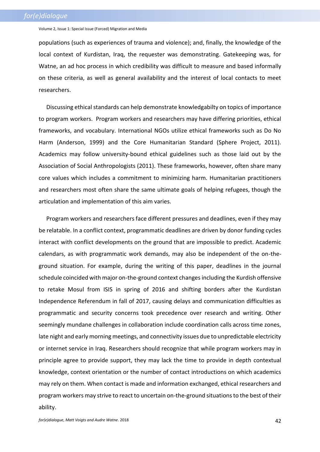populations (such as experiences of trauma and violence); and, finally, the knowledge of the local context of Kurdistan, Iraq, the requester was demonstrating. Gatekeeping was, for Watne, an ad hoc process in which credibility was difficult to measure and based informally on these criteria, as well as general availability and the interest of local contacts to meet researchers.

Discussing ethical standards can help demonstrate knowledgabilty on topics of importance to program workers. Program workers and researchers may have differing priorities, ethical frameworks, and vocabulary. International NGOs utilize ethical frameworks such as Do No Harm (Anderson, 1999) and the Core Humanitarian Standard (Sphere Project, 2011). Academics may follow university-bound ethical guidelines such as those laid out by the Association of Social Anthropologists (2011). These frameworks, however, often share many core values which includes a commitment to minimizing harm. Humanitarian practitioners and researchers most often share the same ultimate goals of helping refugees, though the articulation and implementation of this aim varies.

Program workers and researchers face different pressures and deadlines, even if they may be relatable. In a conflict context, programmatic deadlines are driven by donor funding cycles interact with conflict developments on the ground that are impossible to predict. Academic calendars, as with programmatic work demands, may also be independent of the on-theground situation. For example, during the writing of this paper, deadlines in the journal schedule coincided with major on-the-ground context changes including the Kurdish offensive to retake Mosul from ISIS in spring of 2016 and shifting borders after the Kurdistan Independence Referendum in fall of 2017, causing delays and communication difficulties as programmatic and security concerns took precedence over research and writing. Other seemingly mundane challenges in collaboration include coordination calls across time zones, late night and early morning meetings, and connectivity issues due to unpredictable electricity or internet service in Iraq. Researchers should recognize that while program workers may in principle agree to provide support, they may lack the time to provide in depth contextual knowledge, context orientation or the number of contact introductions on which academics may rely on them. When contact is made and information exchanged, ethical researchers and program workers may strive to react to uncertain on-the-ground situations to the best of their ability.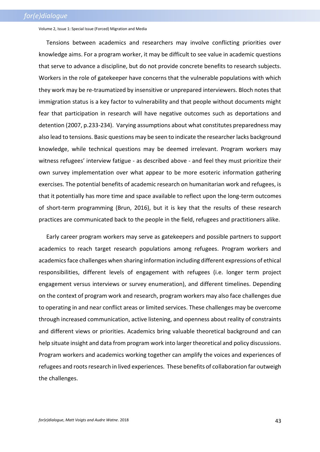Tensions between academics and researchers may involve conflicting priorities over knowledge aims. For a program worker, it may be difficult to see value in academic questions that serve to advance a discipline, but do not provide concrete benefits to research subjects. Workers in the role of gatekeeper have concerns that the vulnerable populations with which they work may be re-traumatized by insensitive or unprepared interviewers. Bloch notes that immigration status is a key factor to vulnerability and that people without documents might fear that participation in research will have negative outcomes such as deportations and detention (2007, p.233-234). Varying assumptions about what constitutes preparedness may also lead to tensions. Basic questions may be seen to indicate the researcher lacks background knowledge, while technical questions may be deemed irrelevant. Program workers may witness refugees' interview fatigue - as described above - and feel they must prioritize their own survey implementation over what appear to be more esoteric information gathering exercises. The potential benefits of academic research on humanitarian work and refugees, is that it potentially has more time and space available to reflect upon the long-term outcomes of short-term programming (Brun, 2016), but it is key that the results of these research practices are communicated back to the people in the field, refugees and practitioners alike.

Early career program workers may serve as gatekeepers and possible partners to support academics to reach target research populations among refugees. Program workers and academics face challenges when sharing information including different expressions of ethical responsibilities, different levels of engagement with refugees (i.e. longer term project engagement versus interviews or survey enumeration), and different timelines. Depending on the context of program work and research, program workers may also face challenges due to operating in and near conflict areas or limited services. These challenges may be overcome through increased communication, active listening, and openness about reality of constraints and different views or priorities. Academics bring valuable theoretical background and can help situate insight and data from program work into larger theoretical and policy discussions. Program workers and academics working together can amplify the voices and experiences of refugees and roots research in lived experiences. These benefits of collaboration far outweigh the challenges.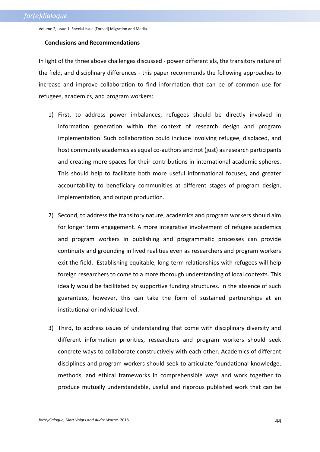### **Conclusions and Recommendations**

In light of the three above challenges discussed - power differentials, the transitory nature of the field, and disciplinary differences - this paper recommends the following approaches to increase and improve collaboration to find information that can be of common use for refugees, academics, and program workers:

- 1) First, to address power imbalances, refugees should be directly involved in information generation within the context of research design and program implementation. Such collaboration could include involving refugee, displaced, and host community academics as equal co-authors and not (just) as research participants and creating more spaces for their contributions in international academic spheres. This should help to facilitate both more useful informational focuses, and greater accountability to beneficiary communities at different stages of program design, implementation, and output production.
- 2) Second, to address the transitory nature, academics and program workers should aim for longer term engagement. A more integrative involvement of refugee academics and program workers in publishing and programmatic processes can provide continuity and grounding in lived realities even as researchers and program workers exit the field. Establishing equitable, long-term relationships with refugees will help foreign researchers to come to a more thorough understanding of local contexts. This ideally would be facilitated by supportive funding structures. In the absence of such guarantees, however, this can take the form of sustained partnerships at an institutional or individual level.
- 3) Third, to address issues of understanding that come with disciplinary diversity and different information priorities, researchers and program workers should seek concrete ways to collaborate constructively with each other. Academics of different disciplines and program workers should seek to articulate foundational knowledge, methods, and ethical frameworks in comprehensible ways and work together to produce mutually understandable, useful and rigorous published work that can be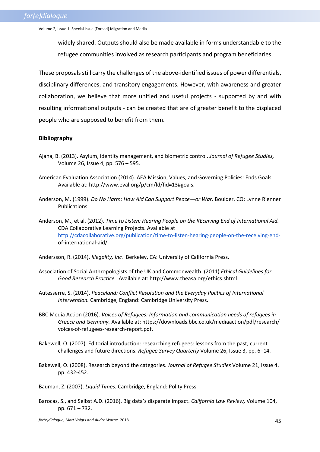widely shared. Outputs should also be made available in forms understandable to the refugee communities involved as research participants and program beneficiaries.

These proposals still carry the challenges of the above-identified issues of power differentials, disciplinary differences, and transitory engagements. However, with awareness and greater collaboration, we believe that more unified and useful projects - supported by and with resulting informational outputs - can be created that are of greater benefit to the displaced people who are supposed to benefit from them.

## **Bibliography**

- Ajana, B. (2013). Asylum, identity management, and biometric control. *Journal of Refugee Studies,*  Volume 26, Issue 4, pp. 576 – 595.
- American Evaluation Association (2014). AEA Mission, Values, and Governing Policies: Ends Goals. Available at: http://www.eval.org/p/cm/ld/fid=13#goals.
- Anderson, M. (1999). *Do No Harm: How Aid Can Support Peace—or War*. Boulder, CO: Lynne Rienner Publications.
- Anderson, M., et al. (2012). *Time to Listen: Hearing People on the REceiving End of International Aid.*  CDA Collaborative Learning Projects. Available at [http://cdacollaborative.org/publication/time-to-listen-hearing-people-on-the-receiving-end](http://cdacollaborative.org/publication/time-to-listen-hearing-people-on-the-receiving-end-)of-international-aid/.

Andersson, R. (2014). *Illegality, Inc.* Berkeley, CA: University of California Press.

- Association of Social Anthropologists of the UK and Commonwealth. (2011) *Ethical Guidelines for Good Research Practice.* Available at: http://www.theasa.org/ethics.shtml
- Autesserre, S. (2014). *Peaceland: Conflict Resolution and the Everyday Politics of International Intervention.* Cambridge, England: Cambridge University Press.
- BBC Media Action (2016). *Voices of Refugees: Information and communication needs of refugees in Greece and Germany.* Available at: https://downloads.bbc.co.uk/mediaaction/pdf/research/ voices-of-refugees-research-report.pdf.
- Bakewell, O. (2007). Editorial introduction: researching refugees: lessons from the past, current challenges and future directions. *Refugee Survey Quarterly* Volume 26, Issue 3, pp. 6–14.
- Bakewell, O. (2008). Research beyond the categories. *Journal of Refugee Studies* Volume 21, Issue 4, pp. 432-452.
- Bauman, Z. (2007). *Liquid Times.* Cambridge, England: Polity Press.
- Barocas, S., and Selbst A.D. (2016). Big data's disparate impact. *California Law Review,* Volume 104, pp. 671 – 732.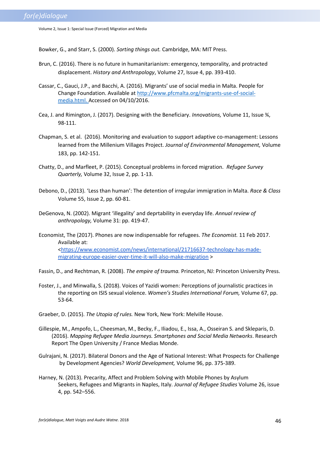Bowker, G., and Starr, S. (2000). *Sorting things out.* Cambridge, MA: MIT Press.

- Brun, C. (2016). There is no future in humanitarianism: emergency, temporality, and protracted displacement. *History and Anthropology*, Volume 27, Issue 4, pp. 393-410.
- Cassar, C., Gauci, J.P., and Bacchi, A. (2016). Migrants' use of social media in Malta. People for Change Foundation. Available at [http://www.pfcmalta.org/migrants-use-of-social](http://www.pfcmalta.org/migrants-use-of-social-media.html)[media.html.](http://www.pfcmalta.org/migrants-use-of-social-media.html) Accessed on 04/10/2016.
- Cea, J. and Rimington, J. (2017). Designing with the Beneficiary. *Innovations,* Volume 11, Issue ¾, 98-111.
- Chapman, S. et al. (2016). Monitoring and evaluation to support adaptive co-management: Lessons learned from the Millenium Villages Project. *Journal of Environmental Management,* Volume 183, pp. 142-151.
- Chatty, D., and Marfleet, P. (2015). Conceptual problems in forced migration. *Refugee Survey Quarterly,* Volume 32, Issue 2, pp. 1-13.
- Debono, D., (2013). 'Less than human': The detention of irregular immigration in Malta. *Race & Class* Volume 55, Issue 2, pp. 60-81.
- DeGenova, N. (2002). Migrant 'illegality' and deprtability in everyday life. *Annual review of anthropology,* Volume 31: pp. 419-47.
- Economist, The (2017). Phones are now indispensable for refugees. *The Economist.* 11 Feb 2017. Available at: [<https://www.economist.com/news/international/21716637-technology-has-made](https://www.economist.com/news/international/21716637-technology-has-made-migrating-europe-easier-over-time-it-will-also-make-migration)[migrating-europe-easier-over-time-it-will-also-make-migration](https://www.economist.com/news/international/21716637-technology-has-made-migrating-europe-easier-over-time-it-will-also-make-migration) >
- Fassin, D., and Rechtman, R. (2008). *The empire of trauma.* Princeton, NJ: Princeton University Press.
- Foster, J., and Minwalla, S. (2018). Voices of Yazidi women: Perceptions of journalistic practices in the reporting on ISIS sexual violence. *Women's Studies International Forum,* Volume 67, pp. 53-64.
- Graeber, D. (2015). *The Utopia of rules.* New York, New York: Melville House.
- Gillespie, M., Ampofo, L., Cheesman, M., Becky, F., Iliadou, E., Issa, A., Osseiran S. and Skleparis, D. (2016). *Mapping Refugee Media Journeys. Smartphones and Social Media Networks*. Research Report The Open University / France Medias Monde.
- Gulrajani, N. (2017). Bilateral Donors and the Age of National Interest: What Prospects for Challenge by Development Agencies? *World Development,* Volume 96, pp. 375-389.
- Harney, N. (2013). Precarity, Affect and Problem Solving with Mobile Phones by Asylum Seekers, Refugees and Migrants in Naples, Italy. *Journal of Refugee Studies* Volume 26, issue 4, pp. 542–556.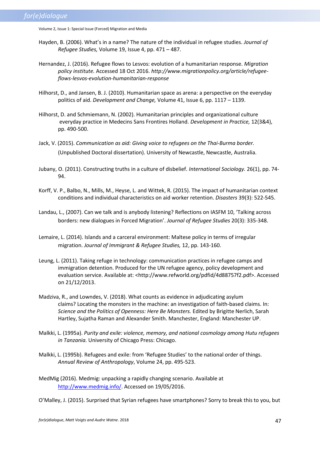- Hayden, B. (2006). What's in a name? The nature of the individual in refugee studies. *Journal of Refugee Studies,* Volume 19, Issue 4, pp. 471 – 487.
- Hernandez, J. (2016). Refugee flows to Lesvos: evolution of a humanitarian response. *Migration policy institute.* Accessed 18 Oct 2016. *http://www.migrationpolicy.org/article/refugeeflows-lesvos-evolution-humanitarian-response*
- Hilhorst, D., and Jansen, B. J. (2010). Humanitarian space as arena: a perspective on the everyday politics of aid. *Development and Change,* Volume 41, Issue 6, pp. 1117 – 1139.
- Hilhorst, D. and Schmiemann, N. (2002). Humanitarian principles and organizational culture everyday practice in Medecins Sans Frontires Holland. *Development in Practice,* 12(3&4), pp. 490-500.
- Jack, V. (2015). *Communication as aid: Giving voice to refugees on the Thai-Burma border.* (Unpublished Doctoral dissertation). University of Newcastle, Newcastle, Australia.
- Jubany, O. (2011). Constructing truths in a culture of disbelief. *International Sociology.* 26(1), pp. 74- 94.
- Korff, V. P., Balbo, N., Mills, M., Heyse, L. and Wittek, R. (2015). The impact of humanitarian context conditions and individual characteristics on aid worker retention. *Disasters* 39(3): 522-545.
- Landau, L., (2007). Can we talk and is anybody listening? Reflections on IASFM 10, 'Talking across borders: new dialogues in Forced Migration'. *Journal of Refugee Studies* 20(3): 335-348.
- Lemaire, L. (2014). Islands and a carceral environment: Maltese policy in terms of irregular migration. *Journal of Immigrant & Refugee Studies,* 12, pp. 143-160.
- Leung, L. (2011). Taking refuge in technology: communication practices in refugee camps and immigration detention. Produced for the UN refugee agency, policy development and evaluation service. Available at: <http://www.refworld.org/pdfid/4d88757f2.pdf>. Accessed on 21/12/2013.
- Madziva, R., and Lowndes, V. (2018). What counts as evidence in adjudicating asylum claims? Locating the monsters in the machine: an investigation of faith-based claims. In: *Science and the Politics of Openness: Here Be Monsters.* Edited by Brigitte Nerlich, Sarah Hartley, Sujatha Raman and Alexander Smith. Manchester, England: Manchester UP.
- Malkki, L. (1995a). *Purity and exile: violence, memory, and national cosmology among Hutu refugees in Tanzania.* University of Chicago Press: Chicago.
- Malkki, L. (1995b). Refugees and exile: from 'Refugee Studies' to the national order of things. *Annual Review of Anthropology*, Volume 24, pp. 495-523.
- MedMig (2016). Medmig: unpacking a rapidly changing scenario. Available at [http://www.medmig.info/.](http://www.medmig.info/) Accessed on 19/05/2016.

O'Malley, J. (2015). Surprised that Syrian refugees have smartphones? Sorry to break this to you, but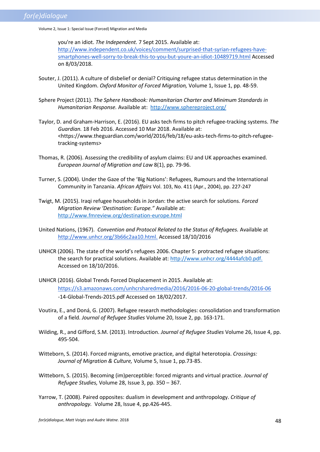you're an idiot. *The Independent.* 7 Sept 2015. Available at: [http://www.independent.co.uk/voices/comment/surprised-that-syrian-refugees-have](http://www.independent.co.uk/voices/comment/surprised-that-syrian-refugees-have-smartphones-well-sorry-to-break-this-to-you-but-youre-an-idiot-10489719.html)[smartphones-well-sorry-to-break-this-to-you-but-youre-an-idiot-10489719.html](http://www.independent.co.uk/voices/comment/surprised-that-syrian-refugees-have-smartphones-well-sorry-to-break-this-to-you-but-youre-an-idiot-10489719.html) Accessed on 8/03/2018.

- Souter, J. (2011). A culture of disbelief or denial? Critiquing refugee status determination in the United Kingdom. *Oxford Monitor of Forced Migration,* Volume 1, Issue 1, pp. 48-59.
- Sphere Project (2011). *The Sphere Handbook: Humanitarian Charter and Minimum Standards in Humanitarian Response.* Available at: <http://www.sphereproject.org/>
- Taylor, D. and Graham-Harrison, E. (2016). EU asks tech firms to pitch refugee-tracking systems. *The Guardian.* 18 Feb 2016. Accessed 10 Mar 2018. Available at: <https://www.theguardian.com/world/2016/feb/18/eu-asks-tech-firms-to-pitch-refugeetracking-systems>
- Thomas, R. (2006). Assessing the credibility of asylum claims: EU and UK approaches examined. *European Journal of Migration and Law* 8(1), pp. 79-96.
- Turner, S. (2004). Under the Gaze of the 'Big Nations': Refugees, Rumours and the International Community in Tanzania. *African Affairs* Vol. 103, No. 411 (Apr., 2004), pp. 227-247
- Twigt, M. (2015). Iraqi refugee households in Jordan: the active search for solutions*. Forced Migration Review 'Destination: Europe."* Available at: <http://www.fmreview.org/destination-europe.html>
- United Nations, (1967). *Convention and Protocol Related to the Status of Refugees.* Available at [http://www.unhcr.org/3b66c2aa10.html.](http://www.unhcr.org/3b66c2aa10.html) Accessed 18/10/2016
- UNHCR (2006). The state of the world's refugees 2006. Chapter 5: protracted refugee situations: the search for practical solutions. Available at[: http://www.unhcr.org/4444afcb0.pdf.](http://www.unhcr.org/4444afcb0.pdf) Accessed on 18/10/2016.
- UNHCR (2016). Global Trends Forced Displacement in 2015. Available at: <https://s3.amazonaws.com/unhcrsharedmedia/2016/2016-06-20-global-trends/2016-06> -14-Global-Trends-2015.pdf Accessed on 18/02/2017.
- Voutira, E., and Doná, G. (2007). Refugee research methodologies: consolidation and transformation of a field. *Journal of Refugee Studies* Volume 20, Issue 2, pp. 163-171.
- Wilding, R., and Gifford, S.M. (2013). Introduction. *Journal of Refugee Studies* Volume 26, Issue 4, pp. 495-504.
- Witteborn, S. (2014). Forced migrants, emotive practice, and digital heterotopia. *Crossings: Journal of Migration & Culture,* Volume 5, Issue 1, pp.73-85.
- Witteborn, S. (2015). Becoming (im)perceptible: forced migrants and virtual practice. *Journal of Refugee Studies,* Volume 28, Issue 3, pp. 350 – 367.
- Yarrow, T. (2008). Paired opposites: dualism in development and anthropology. *Critique of anthropology.* Volume 28, Issue 4, pp.426-445.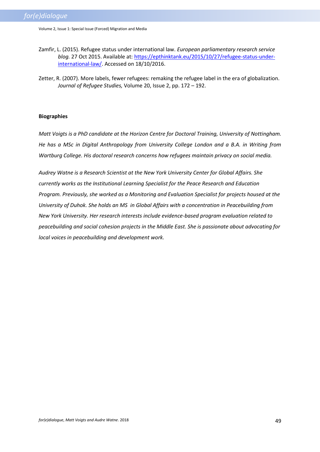- Zamfir, L. (2015). Refugee status under international law. *European parliamentary research service blog.* 27 Oct 2015. Available at[: https://epthinktank.eu/2015/10/27/refugee-status-under](https://epthinktank.eu/2015/10/27/refugee-status-under-international-law/)[international-law/.](https://epthinktank.eu/2015/10/27/refugee-status-under-international-law/) Accessed on 18/10/2016.
- Zetter, R. (2007). More labels, fewer refugees: remaking the refugee label in the era of globalization. *Journal of Refugee Studies,* Volume 20, Issue 2, pp. 172 – 192.

## **Biographies**

*Matt Voigts is a PhD candidate at the Horizon Centre for Doctoral Training, University of Nottingham. He has a MSc in Digital Anthropology from University College London and a B.A. in Writing from Wartburg College. His doctoral research concerns how refugees maintain privacy on social media.*

*Audrey Watne is a Research Scientist at the New York University Center for Global Affairs. She currently works as the Institutional Learning Specialist for the Peace Research and Education Program. Previously, she worked as a Monitoring and Evaluation Specialist for projects housed at the University of Duhok. She holds an MS in Global Affairs with a concentration in Peacebuilding from New York University. Her research interests include evidence-based program evaluation related to peacebuilding and social cohesion projects in the Middle East. She is passionate about advocating for local voices in peacebuilding and development work.*